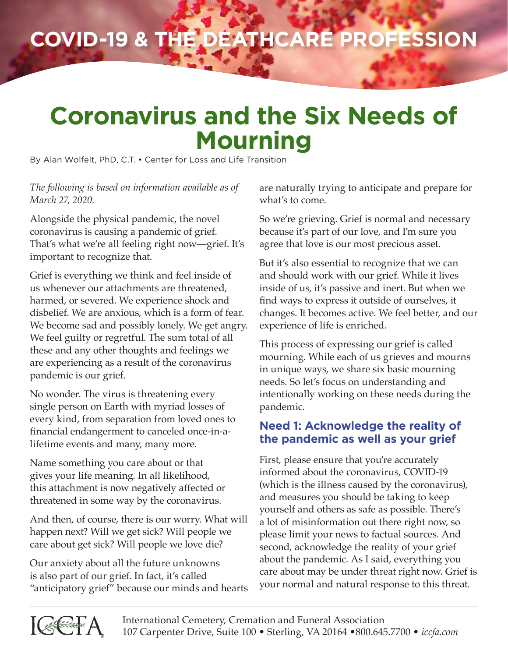# **COVID-19 & the Deathcare Profession**

# **Coronavirus and the Six Needs of Mourning**

By Alan Wolfelt, PhD, C.T. • Center for Loss and Life Transition

*The following is based on information available as of March 27, 2020.*

Alongside the physical pandemic, the novel coronavirus is causing a pandemic of grief. That's what we're all feeling right now—grief. It's important to recognize that.

Grief is everything we think and feel inside of us whenever our attachments are threatened, harmed, or severed. We experience shock and disbelief. We are anxious, which is a form of fear. We become sad and possibly lonely. We get angry. We feel guilty or regretful. The sum total of all these and any other thoughts and feelings we are experiencing as a result of the coronavirus pandemic is our grief.

No wonder. The virus is threatening every single person on Earth with myriad losses of every kind, from separation from loved ones to financial endangerment to canceled once-in-alifetime events and many, many more.

Name something you care about or that gives your life meaning. In all likelihood, this attachment is now negatively affected or threatened in some way by the coronavirus.

And then, of course, there is our worry. What will happen next? Will we get sick? Will people we care about get sick? Will people we love die?

Our anxiety about all the future unknowns is also part of our grief. In fact, it's called "anticipatory grief" because our minds and hearts are naturally trying to anticipate and prepare for what's to come.

So we're grieving. Grief is normal and necessary because it's part of our love, and I'm sure you agree that love is our most precious asset.

But it's also essential to recognize that we can and should work with our grief. While it lives inside of us, it's passive and inert. But when we find ways to express it outside of ourselves, it changes. It becomes active. We feel better, and our experience of life is enriched.

This process of expressing our grief is called mourning. While each of us grieves and mourns in unique ways, we share six basic mourning needs. So let's focus on understanding and intentionally working on these needs during the pandemic.

#### **Need 1: Acknowledge the reality of the pandemic as well as your grief**

First, please ensure that you're accurately informed about the coronavirus, COVID-19 (which is the illness caused by the coronavirus), and measures you should be taking to keep yourself and others as safe as possible. There's a lot of misinformation out there right now, so please limit your news to factual sources. And second, acknowledge the reality of your grief about the pandemic. As I said, everything you care about may be under threat right now. Grief is your normal and natural response to this threat.

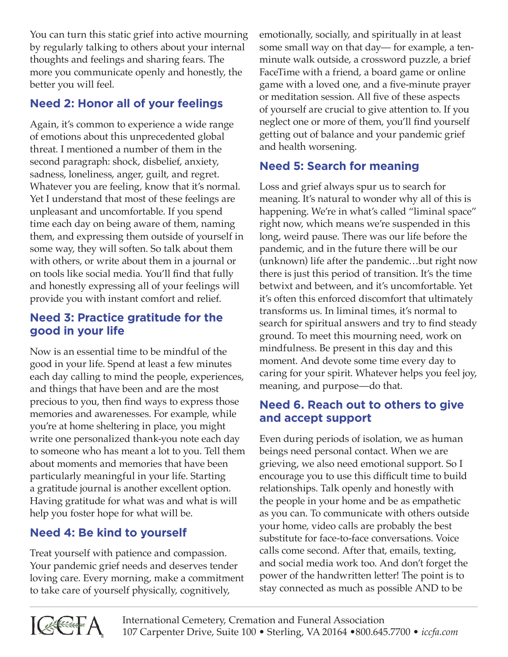You can turn this static grief into active mourning by regularly talking to others about your internal thoughts and feelings and sharing fears. The more you communicate openly and honestly, the better you will feel.

# **Need 2: Honor all of your feelings**

Again, it's common to experience a wide range of emotions about this unprecedented global threat. I mentioned a number of them in the second paragraph: shock, disbelief, anxiety, sadness, loneliness, anger, guilt, and regret. Whatever you are feeling, know that it's normal. Yet I understand that most of these feelings are unpleasant and uncomfortable. If you spend time each day on being aware of them, naming them, and expressing them outside of yourself in some way, they will soften. So talk about them with others, or write about them in a journal or on tools like social media. You'll find that fully and honestly expressing all of your feelings will provide you with instant comfort and relief.

#### **Need 3: Practice gratitude for the good in your life**

Now is an essential time to be mindful of the good in your life. Spend at least a few minutes each day calling to mind the people, experiences, and things that have been and are the most precious to you, then find ways to express those memories and awarenesses. For example, while you're at home sheltering in place, you might write one personalized thank-you note each day to someone who has meant a lot to you. Tell them about moments and memories that have been particularly meaningful in your life. Starting a gratitude journal is another excellent option. Having gratitude for what was and what is will help you foster hope for what will be.

## **Need 4: Be kind to yourself**

Treat yourself with patience and compassion. Your pandemic grief needs and deserves tender loving care. Every morning, make a commitment to take care of yourself physically, cognitively,

emotionally, socially, and spiritually in at least some small way on that day— for example, a tenminute walk outside, a crossword puzzle, a brief FaceTime with a friend, a board game or online game with a loved one, and a five-minute prayer or meditation session. All five of these aspects of yourself are crucial to give attention to. If you neglect one or more of them, you'll find yourself getting out of balance and your pandemic grief and health worsening.

## **Need 5: Search for meaning**

Loss and grief always spur us to search for meaning. It's natural to wonder why all of this is happening. We're in what's called "liminal space" right now, which means we're suspended in this long, weird pause. There was our life before the pandemic, and in the future there will be our (unknown) life after the pandemic…but right now there is just this period of transition. It's the time betwixt and between, and it's uncomfortable. Yet it's often this enforced discomfort that ultimately transforms us. In liminal times, it's normal to search for spiritual answers and try to find steady ground. To meet this mourning need, work on mindfulness. Be present in this day and this moment. And devote some time every day to caring for your spirit. Whatever helps you feel joy, meaning, and purpose—do that.

#### **Need 6. Reach out to others to give and accept support**

Even during periods of isolation, we as human beings need personal contact. When we are grieving, we also need emotional support. So I encourage you to use this difficult time to build relationships. Talk openly and honestly with the people in your home and be as empathetic as you can. To communicate with others outside your home, video calls are probably the best substitute for face-to-face conversations. Voice calls come second. After that, emails, texting, and social media work too. And don't forget the power of the handwritten letter! The point is to stay connected as much as possible AND to be

**ICEFA**